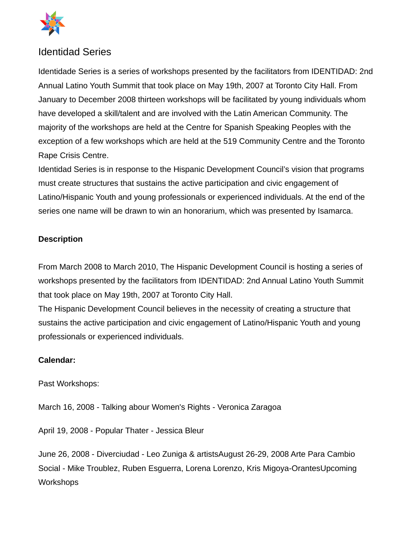

## Identidad Series

Identidade Series is a series of workshops presented by the facilitators from IDENTIDAD: 2nd Annual Latino Youth Summit that took place on May 19th, 2007 at Toronto City Hall. From January to December 2008 thirteen workshops will be facilitated by young individuals whom have developed a skill/talent and are involved with the Latin American Community. The majority of the workshops are held at the Centre for Spanish Speaking Peoples with the exception of a few workshops which are held at the 519 Community Centre and the Toronto Rape Crisis Centre.

Identidad Series is in response to the Hispanic Development Council's vision that programs must create structures that sustains the active participation and civic engagement of Latino/Hispanic Youth and young professionals or experienced individuals. At the end of the series one name will be drawn to win an honorarium, which was presented by Isamarca.

## **Description**

From March 2008 to March 2010, The Hispanic Development Council is hosting a series of workshops presented by the facilitators from IDENTIDAD: 2nd Annual Latino Youth Summit that took place on May 19th, 2007 at Toronto City Hall.

The Hispanic Development Council believes in the necessity of creating a structure that sustains the active participation and civic engagement of Latino/Hispanic Youth and young professionals or experienced individuals.

## **Calendar:**

Past Workshops:

March 16, 2008 - Talking abour Women's Rights - Veronica Zaragoa

April 19, 2008 - Popular Thater - Jessica Bleur

June 26, 2008 - Diverciudad - Leo Zuniga & artistsAugust 26-29, 2008 Arte Para Cambio Social - Mike Troublez, Ruben Esguerra, Lorena Lorenzo, Kris Migoya-OrantesUpcoming **Workshops**